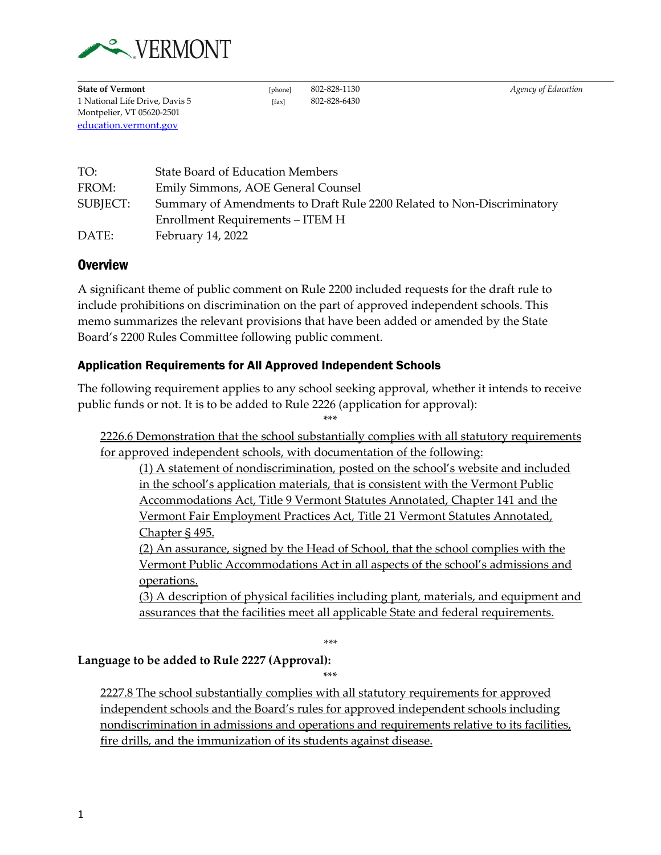

**State of Vermont** [phone] 802-828-1130 *Agency of Education* 1 National Life Drive, Davis 5 [fax] 802-828-6430 Montpelier, VT 05620-2501 [education.vermont.gov](http://education.vermont.gov/)

| TO:      | <b>State Board of Education Members</b>                                |
|----------|------------------------------------------------------------------------|
| FROM:    | Emily Simmons, AOE General Counsel                                     |
| SUBJECT: | Summary of Amendments to Draft Rule 2200 Related to Non-Discriminatory |
|          | Enrollment Requirements – ITEM H                                       |
| DATE:    | February 14, 2022                                                      |

## **Overview**

A significant theme of public comment on Rule 2200 included requests for the draft rule to include prohibitions on discrimination on the part of approved independent schools. This memo summarizes the relevant provisions that have been added or amended by the State Board's 2200 Rules Committee following public comment.

## Application Requirements for All Approved Independent Schools

The following requirement applies to any school seeking approval, whether it intends to receive public funds or not. It is to be added to Rule 2226 (application for approval):

\*\*\*

2226.6 Demonstration that the school substantially complies with all statutory requirements for approved independent schools, with documentation of the following:

(1) A statement of nondiscrimination, posted on the school's website and included in the school's application materials, that is consistent with the Vermont Public Accommodations Act, Title 9 Vermont Statutes Annotated, Chapter 141 and the Vermont Fair Employment Practices Act, Title 21 Vermont Statutes Annotated, Chapter § 495.

(2) An assurance, signed by the Head of School, that the school complies with the Vermont Public Accommodations Act in all aspects of the school's admissions and operations.

(3) A description of physical facilities including plant, materials, and equipment and assurances that the facilities meet all applicable State and federal requirements.

*\*\*\**

#### **Language to be added to Rule 2227 (Approval):**

\*\*\*

2227.8 The school substantially complies with all statutory requirements for approved independent schools and the Board's rules for approved independent schools including nondiscrimination in admissions and operations and requirements relative to its facilities, fire drills, and the immunization of its students against disease.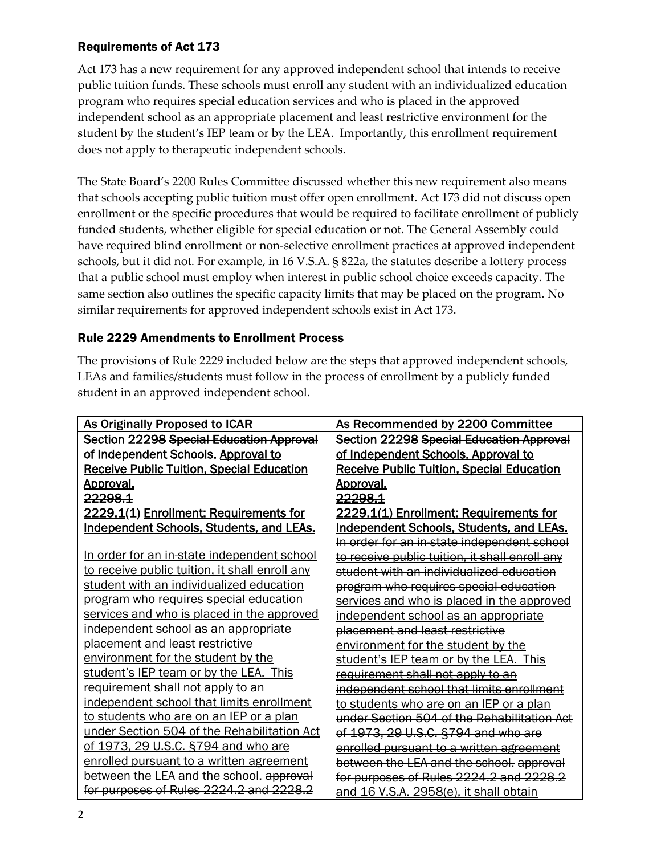## Requirements of Act 173

Act 173 has a new requirement for any approved independent school that intends to receive public tuition funds. These schools must enroll any student with an individualized education program who requires special education services and who is placed in the approved independent school as an appropriate placement and least restrictive environment for the student by the student's IEP team or by the LEA. Importantly, this enrollment requirement does not apply to therapeutic independent schools.

The State Board's 2200 Rules Committee discussed whether this new requirement also means that schools accepting public tuition must offer open enrollment. Act 173 did not discuss open enrollment or the specific procedures that would be required to facilitate enrollment of publicly funded students, whether eligible for special education or not. The General Assembly could have required blind enrollment or non-selective enrollment practices at approved independent schools, but it did not. For example, in 16 V.S.A. § 822a, the statutes describe a lottery process that a public school must employ when interest in public school choice exceeds capacity. The same section also outlines the specific capacity limits that may be placed on the program. No similar requirements for approved independent schools exist in Act 173.

# Rule 2229 Amendments to Enrollment Process

The provisions of Rule 2229 included below are the steps that approved independent schools, LEAs and families/students must follow in the process of enrollment by a publicly funded student in an approved independent school.

| As Originally Proposed to ICAR                   | As Recommended by 2200 Committee                 |
|--------------------------------------------------|--------------------------------------------------|
| Section 22298 Special Education Approval         | <b>Section 22298 Special Education Approval</b>  |
| of Independent Schools. Approval to              | of Independent Schools. Approval to              |
| <b>Receive Public Tuition, Special Education</b> | <b>Receive Public Tuition, Special Education</b> |
| <u>Approval.</u>                                 | <u>Approval.</u>                                 |
| <del>22298.1</del>                               | <del>22298.1</del>                               |
| 2229.1(1) Enrollment: Requirements for           | 2229.1(1) Enrollment: Requirements for           |
| <b>Independent Schools, Students, and LEAs.</b>  | <b>Independent Schools, Students, and LEAs.</b>  |
|                                                  | In order for an in state independent school      |
| In order for an in-state independent school      | to receive public tuition, it shall enroll any   |
| to receive public tuition, it shall enroll any   | student with an individualized education         |
| student with an individualized education         | program who requires special education           |
| program who requires special education           | services and who is placed in the approved       |
| services and who is placed in the approved       | independent school as an appropriate             |
| independent school as an appropriate             | placement and least restrictive                  |
| placement and least restrictive                  | environment for the student by the               |
| environment for the student by the               | student's IEP team or by the LEA. This           |
| student's IEP team or by the LEA. This           | requirement shall not apply to an                |
| requirement shall not apply to an                | independent school that limits enrollment        |
| independent school that limits enrollment        | to students who are on an IEP or a plan          |
| to students who are on an IEP or a plan          | under Section 504 of the Rehabilitation Act      |
| under Section 504 of the Rehabilitation Act      | of 1973, 29 U.S.C. §794 and who are              |
| of 1973, 29 U.S.C. §794 and who are              | enrolled pursuant to a written agreement         |
| enrolled pursuant to a written agreement         | between the LEA and the school. approval         |
| between the LEA and the school. approval         | for purposes of Rules 2224.2 and 2228.2          |
| for purposes of Rules 2224.2 and 2228.2          | and 16 V.S.A. 2958(e), it shall obtain           |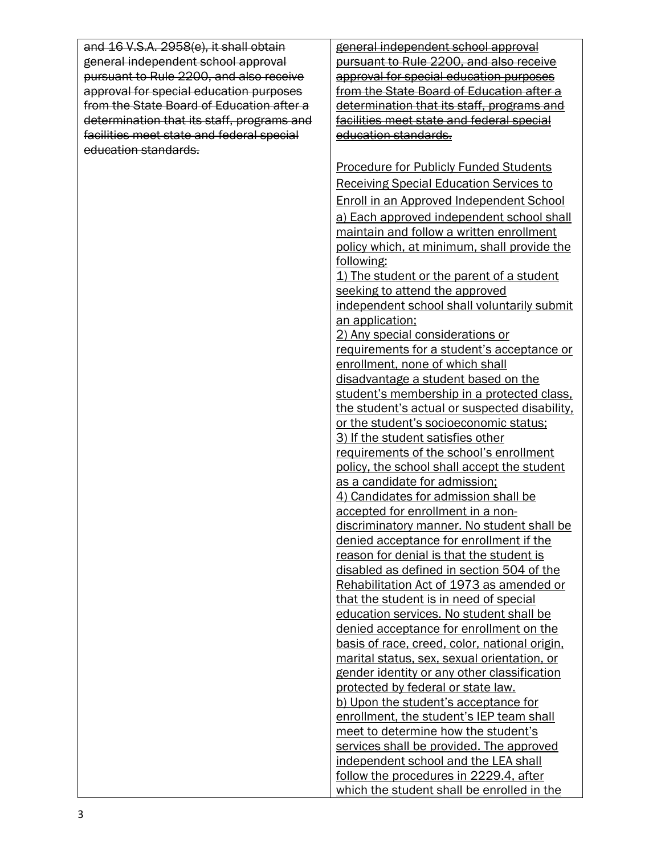| and 16 V.S.A. 2958(e), it shall obtain     | general independent school approval                 |
|--------------------------------------------|-----------------------------------------------------|
| general independent school approval        | pursuant to Rule 2200, and also receive             |
| pursuant to Rule 2200, and also receive    | approval for special education purposes             |
| approval for special education purposes    | from the State Board of Education after a           |
| from the State Board of Education after a  | determination that its staff, programs and          |
| determination that its staff, programs and | facilities meet state and federal special           |
| facilities meet state and federal special  | education standards.                                |
| education standards.                       |                                                     |
|                                            | <b>Procedure for Publicly Funded Students</b>       |
|                                            | <b>Receiving Special Education Services to</b>      |
|                                            |                                                     |
|                                            | <b>Enroll in an Approved Independent School</b>     |
|                                            | a) Each approved independent school shall           |
|                                            | maintain and follow a written enrollment            |
|                                            | policy which, at minimum, shall provide the         |
|                                            | following:                                          |
|                                            | 1) The student or the parent of a student           |
|                                            | seeking to attend the approved                      |
|                                            | independent school shall voluntarily submit         |
|                                            | an application;<br>2) Any special considerations or |
|                                            | requirements for a student's acceptance or          |
|                                            | enrollment, none of which shall                     |
|                                            | disadvantage a student based on the                 |
|                                            | student's membership in a protected class.          |
|                                            | the student's actual or suspected disability.       |
|                                            | or the student's socioeconomic status;              |
|                                            | 3) If the student satisfies other                   |
|                                            | requirements of the school's enrollment             |
|                                            | policy, the school shall accept the student         |
|                                            | as a candidate for admission;                       |
|                                            | 4) Candidates for admission shall be                |
|                                            | accepted for enrollment in a non-                   |
|                                            | discriminatory manner. No student shall be          |
|                                            | denied acceptance for enrollment if the             |
|                                            | reason for denial is that the student is            |
|                                            | disabled as defined in section 504 of the           |
|                                            | Rehabilitation Act of 1973 as amended or            |
|                                            | that the student is in need of special              |
|                                            | education services. No student shall be             |
|                                            | denied acceptance for enrollment on the             |
|                                            | basis of race, creed, color, national origin,       |
|                                            | marital status, sex, sexual orientation, or         |
|                                            | gender identity or any other classification         |
|                                            | protected by federal or state law.                  |
|                                            | b) Upon the student's acceptance for                |
|                                            | enrollment, the student's IEP team shall            |
|                                            | meet to determine how the student's                 |
|                                            | services shall be provided. The approved            |
|                                            | independent school and the LEA shall                |
|                                            | follow the procedures in 2229.4, after              |
|                                            | which the student shall be enrolled in the          |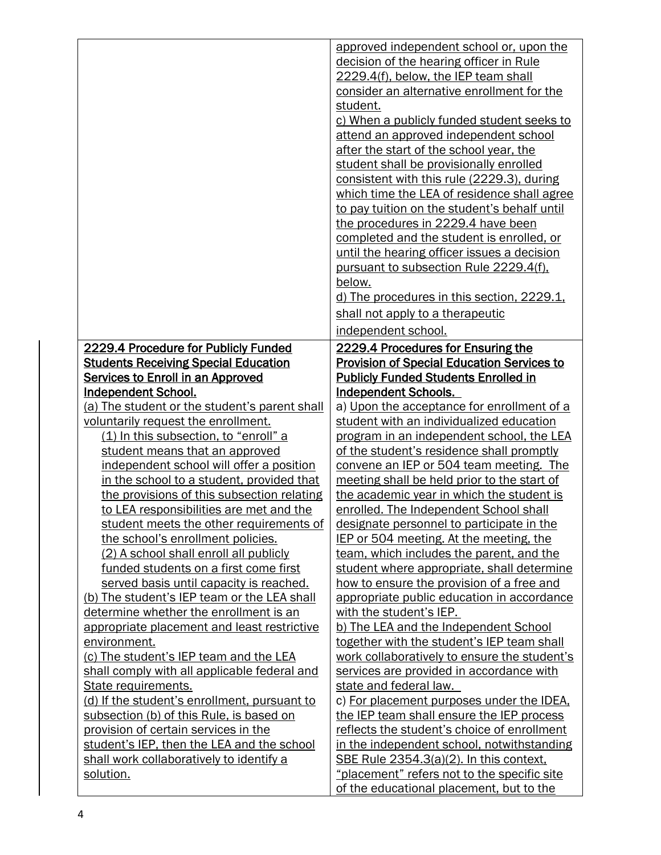|                                                                     | approved independent school or, upon the                                                 |
|---------------------------------------------------------------------|------------------------------------------------------------------------------------------|
|                                                                     | decision of the hearing officer in Rule                                                  |
|                                                                     | 2229.4(f), below, the IEP team shall                                                     |
|                                                                     | consider an alternative enrollment for the                                               |
|                                                                     | student.                                                                                 |
|                                                                     | c) When a publicly funded student seeks to                                               |
|                                                                     |                                                                                          |
|                                                                     | attend an approved independent school                                                    |
|                                                                     | after the start of the school year, the                                                  |
|                                                                     | student shall be provisionally enrolled                                                  |
|                                                                     | consistent with this rule (2229.3), during                                               |
|                                                                     | which time the LEA of residence shall agree                                              |
|                                                                     | to pay tuition on the student's behalf until                                             |
|                                                                     | the procedures in 2229.4 have been                                                       |
|                                                                     | completed and the student is enrolled, or                                                |
|                                                                     | until the hearing officer issues a decision                                              |
|                                                                     | pursuant to subsection Rule 2229.4(f).                                                   |
|                                                                     | below.                                                                                   |
|                                                                     | d) The procedures in this section, 2229.1,                                               |
|                                                                     | shall not apply to a therapeutic                                                         |
|                                                                     | independent school.                                                                      |
| 2229.4 Procedure for Publicly Funded                                | 2229.4 Procedures for Ensuring the                                                       |
| <b>Students Receiving Special Education</b>                         | <b>Provision of Special Education Services to</b>                                        |
| <b>Services to Enroll in an Approved</b>                            | <b>Publicly Funded Students Enrolled in</b>                                              |
| <b>Independent School.</b>                                          | <b>Independent Schools.</b>                                                              |
| (a) The student or the student's parent shall                       | a) Upon the acceptance for enrollment of a                                               |
| voluntarily request the enrollment.                                 | student with an individualized education                                                 |
| (1) In this subsection, to "enroll" a                               | program in an independent school, the LEA                                                |
| student means that an approved                                      | of the student's residence shall promptly                                                |
| independent school will offer a position                            | convene an IEP or 504 team meeting. The                                                  |
| in the school to a student, provided that                           | meeting shall be held prior to the start of                                              |
| the provisions of this subsection relating                          | the academic year in which the student is                                                |
| to LEA responsibilities are met and the                             | enrolled. The Independent School shall                                                   |
| student meets the other requirements of                             | designate personnel to participate in the                                                |
| the school's enrollment policies.                                   | IEP or 504 meeting. At the meeting, the                                                  |
| (2) A school shall enroll all publicly                              | team, which includes the parent, and the                                                 |
| funded students on a first come first                               | student where appropriate, shall determine                                               |
| served basis until capacity is reached.                             | how to ensure the provision of a free and                                                |
| (b) The student's IEP team or the LEA shall                         | appropriate public education in accordance                                               |
| determine whether the enrollment is an                              | with the student's IEP.                                                                  |
| appropriate placement and least restrictive                         | b) The LEA and the Independent School                                                    |
| environment.                                                        | together with the student's IEP team shall                                               |
| (c) The student's IEP team and the LEA                              | work collaboratively to ensure the student's                                             |
|                                                                     | services are provided in accordance with                                                 |
| shall comply with all applicable federal and<br>State requirements. | state and federal law.                                                                   |
| (d) If the student's enrollment, pursuant to                        |                                                                                          |
| subsection (b) of this Rule, is based on                            | c) For placement purposes under the IDEA.                                                |
| provision of certain services in the                                | the IEP team shall ensure the IEP process<br>reflects the student's choice of enrollment |
| student's IEP, then the LEA and the school                          | in the independent school, notwithstanding                                               |
| shall work collaboratively to identify a                            | SBE Rule 2354.3(a)(2). In this context,                                                  |
| solution.                                                           | "placement" refers not to the specific site                                              |
|                                                                     | of the educational placement, but to the                                                 |